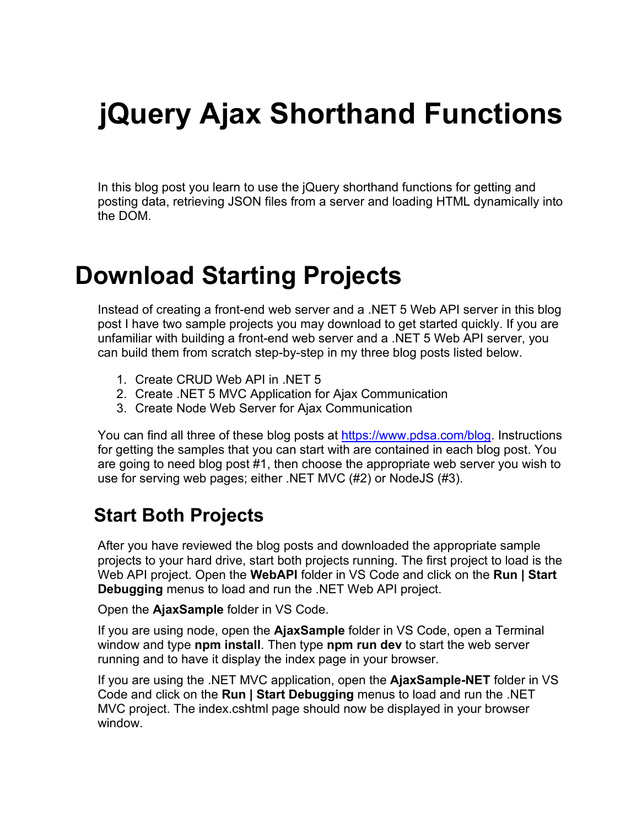# **jQuery Ajax Shorthand Functions**

In this blog post you learn to use the jQuery shorthand functions for getting and posting data, retrieving JSON files from a server and loading HTML dynamically into the DOM.

### **Download Starting Projects**

Instead of creating a front-end web server and a .NET 5 Web API server in this blog post I have two sample projects you may download to get started quickly. If you are unfamiliar with building a front-end web server and a .NET 5 Web API server, you can build them from scratch step-by-step in my three blog posts listed below.

- 1. Create CRUD Web API in .NET 5
- 2. Create .NET 5 MVC Application for Ajax Communication
- 3. Create Node Web Server for Ajax Communication

You can find all three of these blog posts at [https://www.pdsa.com/blog.](https://www.pdsa.com/blog) Instructions for getting the samples that you can start with are contained in each blog post. You are going to need blog post #1, then choose the appropriate web server you wish to use for serving web pages; either .NET MVC (#2) or NodeJS (#3).

#### **Start Both Projects**

After you have reviewed the blog posts and downloaded the appropriate sample projects to your hard drive, start both projects running. The first project to load is the Web API project. Open the **WebAPI** folder in VS Code and click on the **Run | Start Debugging** menus to load and run the .NET Web API project.

Open the **AjaxSample** folder in VS Code.

If you are using node, open the **AjaxSample** folder in VS Code, open a Terminal window and type **npm install**. Then type **npm run dev** to start the web server running and to have it display the index page in your browser.

If you are using the .NET MVC application, open the **AjaxSample-NET** folder in VS Code and click on the **Run | Start Debugging** menus to load and run the .NET MVC project. The index.cshtml page should now be displayed in your browser window.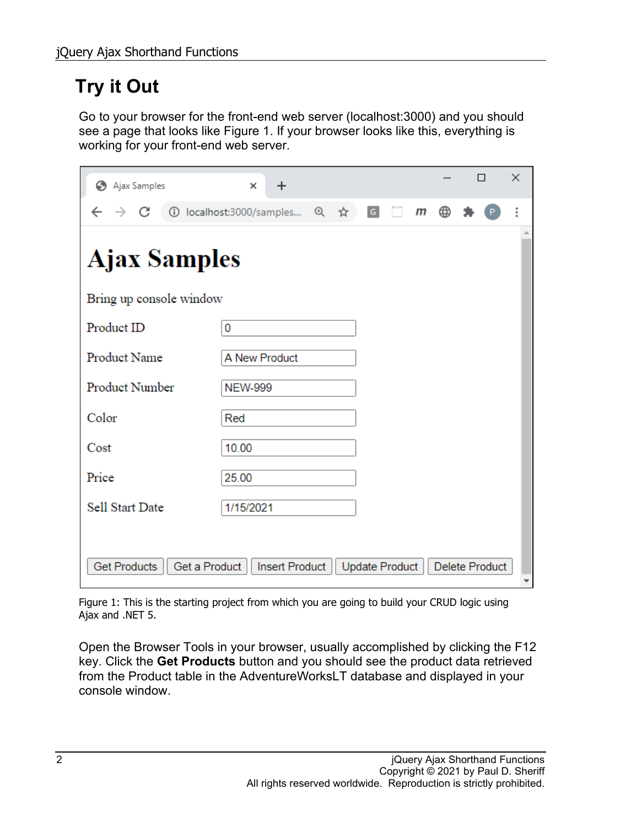#### **Try it Out**

Go to your browser for the front-end web server (localhost:3000) and you should see a page that looks like [Figure 1.](#page-1-0) If your browser looks like this, everything is working for your front-end web server.

| Ajax Samples<br>⊖                    | $\times$<br>$\ddot{}$    |  |     |                |   |   |   |  | П                     | ×                        |
|--------------------------------------|--------------------------|--|-----|----------------|---|---|---|--|-----------------------|--------------------------|
| C<br>$\rightarrow$                   | 1 localhost:3000/samples |  | @ ☆ | $\boxed{G}$    | m | m | ⊕ |  |                       | i                        |
| <b>Ajax Samples</b>                  |                          |  |     |                |   |   |   |  |                       |                          |
| Bring up console window              |                          |  |     |                |   |   |   |  |                       |                          |
| Product ID                           | 0                        |  |     |                |   |   |   |  |                       |                          |
| <b>Product Name</b>                  | A New Product            |  |     |                |   |   |   |  |                       |                          |
| Product Number                       | <b>NEW-999</b>           |  |     |                |   |   |   |  |                       |                          |
| Color                                | Red                      |  |     |                |   |   |   |  |                       |                          |
| Cost                                 | 10.00                    |  |     |                |   |   |   |  |                       |                          |
| Price                                | 25.00                    |  |     |                |   |   |   |  |                       |                          |
| <b>Sell Start Date</b>               | 1/15/2021                |  |     |                |   |   |   |  |                       |                          |
|                                      |                          |  |     |                |   |   |   |  |                       |                          |
| <b>Get Products</b><br>Get a Product | <b>Insert Product</b>    |  |     | Update Product |   |   |   |  | <b>Delete Product</b> | $\overline{\phantom{a}}$ |

<span id="page-1-0"></span>Figure 1: This is the starting project from which you are going to build your CRUD logic using Ajax and .NET 5.

Open the Browser Tools in your browser, usually accomplished by clicking the F12 key. Click the **Get Products** button and you should see the product data retrieved from the Product table in the AdventureWorksLT database and displayed in your console window.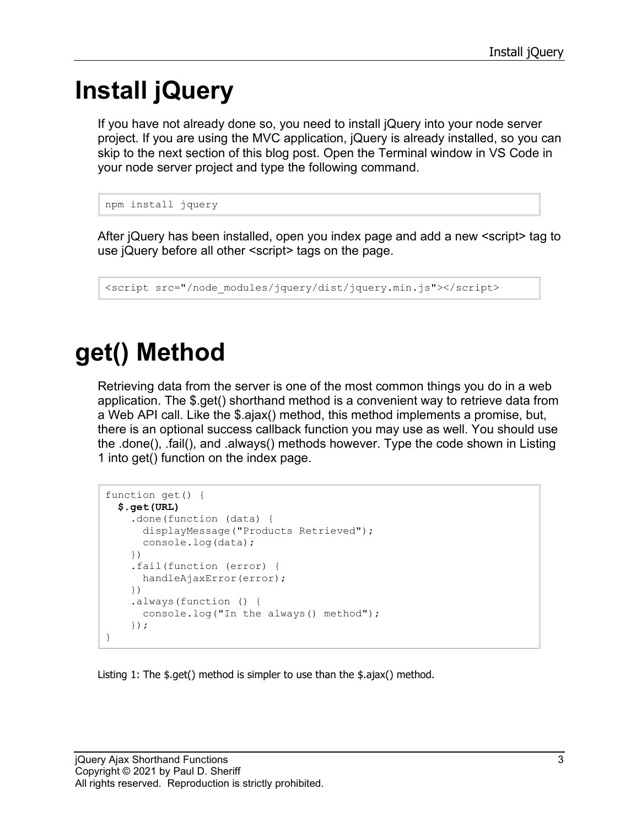## **Install jQuery**

If you have not already done so, you need to install jQuery into your node server project. If you are using the MVC application, jQuery is already installed, so you can skip to the next section of this blog post. Open the Terminal window in VS Code in your node server project and type the following command.

```
npm install jquery
```
After jQuery has been installed, open you index page and add a new <script> tag to use jQuery before all other <script> tags on the page.

```
<script src="/node_modules/jquery/dist/jquery.min.js"></script>
```
## **get() Method**

Retrieving data from the server is one of the most common things you do in a web application. The \$.get() shorthand method is a convenient way to retrieve data from a Web API call. Like the \$.ajax() method, this method implements a promise, but, there is an optional success callback function you may use as well. You should use the .done(), .fail(), and .always() methods however. Type the code shown in [Listing](#page-2-0)  [1](#page-2-0) into get() function on the index page.

```
function get() {
   $.get(URL)
     .done(function (data) {
       displayMessage("Products Retrieved");
       console.log(data);
     })
     .fail(function (error) {
       handleAjaxError(error);
     })
     .always(function () {
       console.log("In the always() method");
     });
}
```
<span id="page-2-0"></span>Listing 1: The \$.get() method is simpler to use than the \$.ajax() method.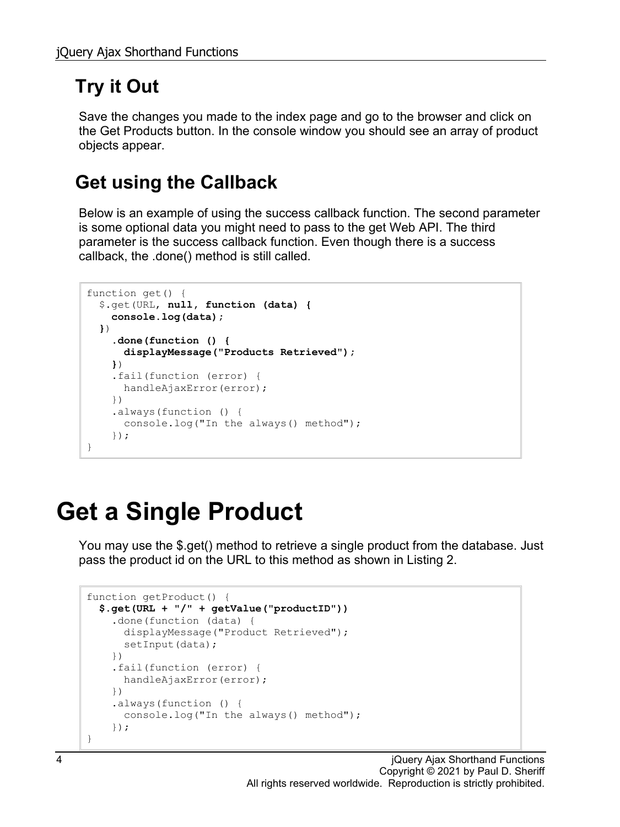### **Try it Out**

Save the changes you made to the index page and go to the browser and click on the Get Products button. In the console window you should see an array of product objects appear.

#### **Get using the Callback**

Below is an example of using the success callback function. The second parameter is some optional data you might need to pass to the get Web API. The third parameter is the success callback function. Even though there is a success callback, the .done() method is still called.

```
function get() {
   $.get(URL, null, function (data) {
     console.log(data);
   })
     .done(function () {
       displayMessage("Products Retrieved");
     })
     .fail(function (error) {
     handleAjaxError(error);
     })
     .always(function () {
      console.log("In the always() method");
     });
}
```
## **Get a Single Product**

You may use the \$.get() method to retrieve a single product from the database. Just pass the product id on the URL to this method as shown in [Listing 2.](#page-4-0)

```
function getProduct() {
   $.get(URL + "/" + getValue("productID"))
     .done(function (data) {
       displayMessage("Product Retrieved");
      setInput(data);
     })
     .fail(function (error) {
      handleAjaxError(error);
     })
     .always(function () {
      console.log("In the always() method");
     });
}
```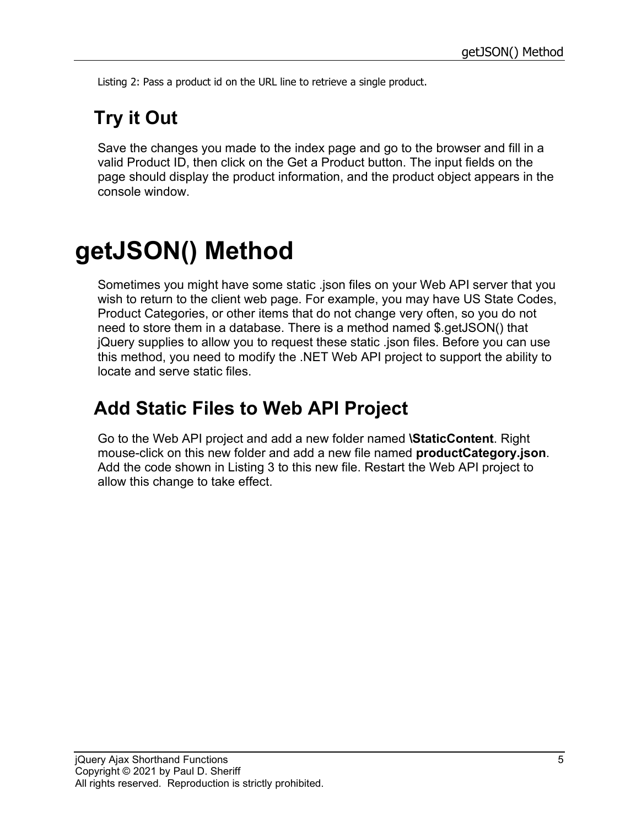<span id="page-4-0"></span>Listing 2: Pass a product id on the URL line to retrieve a single product.

### **Try it Out**

Save the changes you made to the index page and go to the browser and fill in a valid Product ID, then click on the Get a Product button. The input fields on the page should display the product information, and the product object appears in the console window.

## **getJSON() Method**

Sometimes you might have some static .json files on your Web API server that you wish to return to the client web page. For example, you may have US State Codes, Product Categories, or other items that do not change very often, so you do not need to store them in a database. There is a method named \$.getJSON() that jQuery supplies to allow you to request these static .json files. Before you can use this method, you need to modify the .NET Web API project to support the ability to locate and serve static files.

#### **Add Static Files to Web API Project**

Go to the Web API project and add a new folder named **\StaticContent**. Right mouse-click on this new folder and add a new file named **productCategory.json**. Add the code shown in [Listing 3](#page-7-0) to this new file. Restart the Web API project to allow this change to take effect.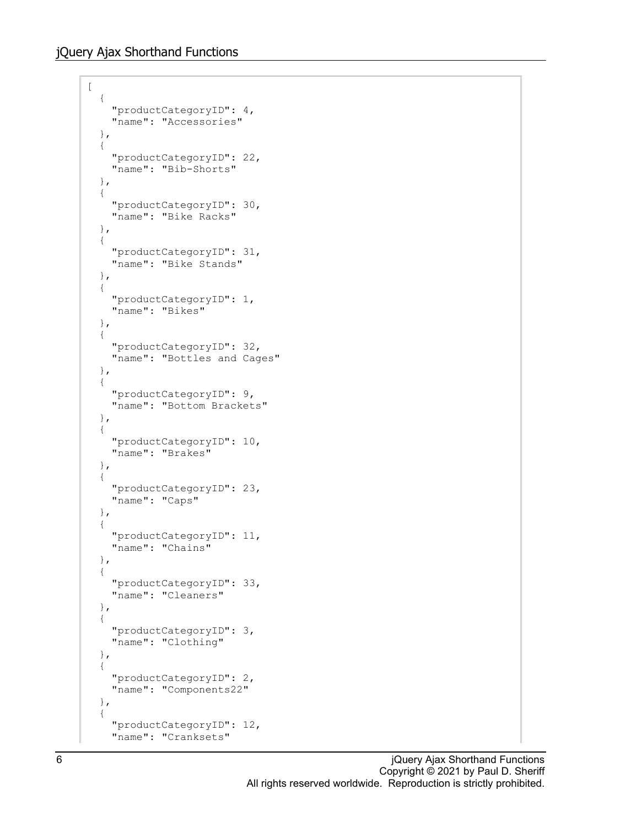$\lbrack$ 

```
 {
   "productCategoryID": 4,
   "name": "Accessories"
 },
 {
   "productCategoryID": 22,
   "name": "Bib-Shorts"
 },
 {
   "productCategoryID": 30,
   "name": "Bike Racks"
 },
 {
   "productCategoryID": 31,
   "name": "Bike Stands"
 },
 {
   "productCategoryID": 1,
   "name": "Bikes"
 },
 {
   "productCategoryID": 32,
   "name": "Bottles and Cages"
 },
 {
   "productCategoryID": 9,
   "name": "Bottom Brackets"
 },
 {
   "productCategoryID": 10,
   "name": "Brakes"
 },
 {
   "productCategoryID": 23,
   "name": "Caps"
 },
 {
   "productCategoryID": 11,
   "name": "Chains"
 },
 {
   "productCategoryID": 33,
   "name": "Cleaners"
 },
 {
   "productCategoryID": 3,
   "name": "Clothing"
 },
 {
   "productCategoryID": 2,
   "name": "Components22"
 },
 {
   "productCategoryID": 12,
   "name": "Cranksets"
```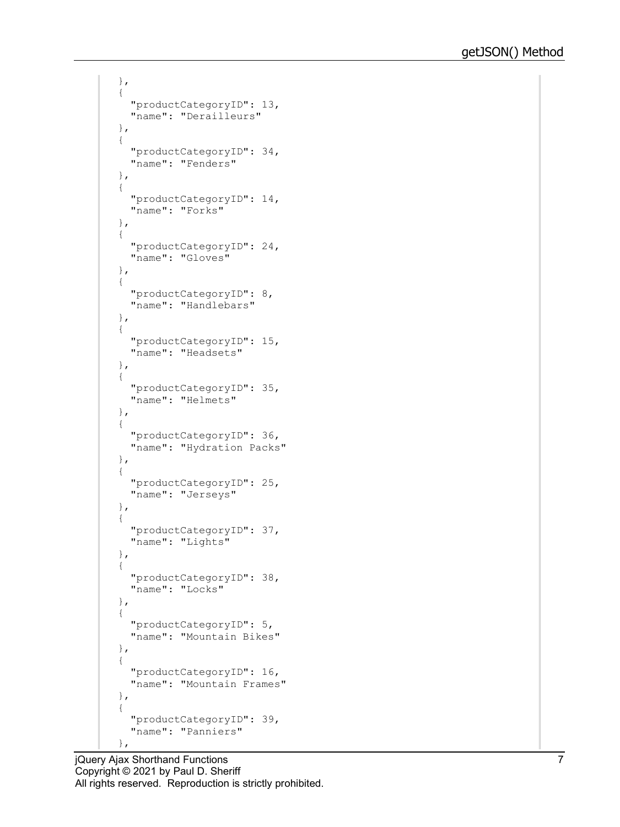```
 },
 {
   "productCategoryID": 13,
   "name": "Derailleurs"
 },
 {
   "productCategoryID": 34,
   "name": "Fenders"
 },
 {
   "productCategoryID": 14,
  "name": "Forks"
 },
 {
   "productCategoryID": 24,
   "name": "Gloves"
 },
 {
   "productCategoryID": 8,
   "name": "Handlebars"
 },
 {
   "productCategoryID": 15,
   "name": "Headsets"
 },
 {
   "productCategoryID": 35,
   "name": "Helmets"
 },
 {
   "productCategoryID": 36,
   "name": "Hydration Packs"
 },
 {
   "productCategoryID": 25,
   "name": "Jerseys"
 },
 {
   "productCategoryID": 37,
   "name": "Lights"
 },
 {
   "productCategoryID": 38,
   "name": "Locks"
 },
 {
   "productCategoryID": 5,
   "name": "Mountain Bikes"
 },
 {
   "productCategoryID": 16,
   "name": "Mountain Frames"
 },
 {
   "productCategoryID": 39,
   "name": "Panniers"
 },
```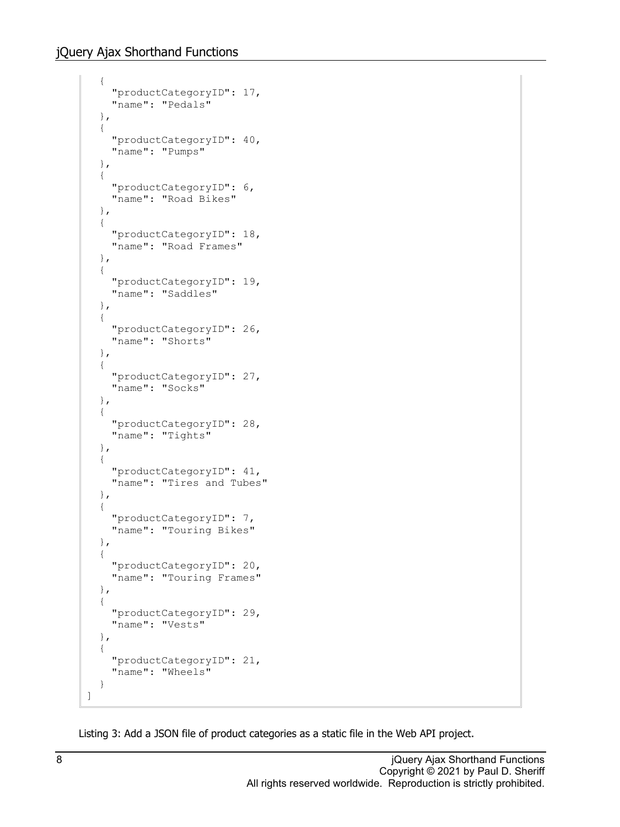```
 {
   "productCategoryID": 17,
   "name": "Pedals"
 },
 {
   "productCategoryID": 40,
   "name": "Pumps"
 },
 {
   "productCategoryID": 6,
   "name": "Road Bikes"
 },
 {
   "productCategoryID": 18,
   "name": "Road Frames"
 },
 {
   "productCategoryID": 19,
   "name": "Saddles"
 },
 {
   "productCategoryID": 26,
   "name": "Shorts"
 },
 {
   "productCategoryID": 27,
   "name": "Socks"
 },
 {
   "productCategoryID": 28,
   "name": "Tights"
 },
 {
   "productCategoryID": 41,
   "name": "Tires and Tubes"
 },
 {
   "productCategoryID": 7,
   "name": "Touring Bikes"
 },
 {
   "productCategoryID": 20,
   "name": "Touring Frames"
 },
 {
   "productCategoryID": 29,
   "name": "Vests"
 },
 {
   "productCategoryID": 21,
   "name": "Wheels"
 }
```
<span id="page-7-0"></span>Listing 3: Add a JSON file of product categories as a static file in the Web API project.

]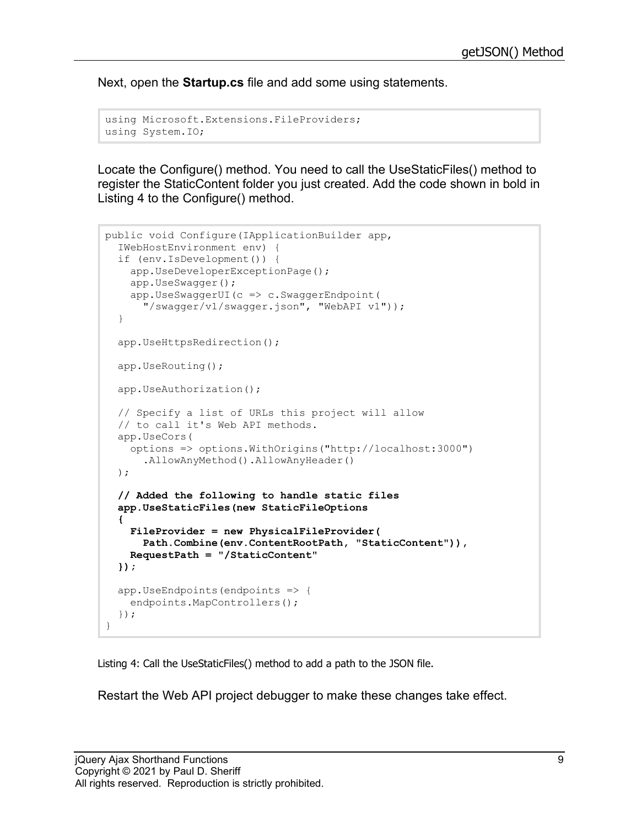Next, open the **Startup.cs** file and add some using statements.

```
using Microsoft.Extensions.FileProviders;
using System.IO;
```
Locate the Configure() method. You need to call the UseStaticFiles() method to register the StaticContent folder you just created. Add the code shown in bold in [Listing 4](#page-8-0) to the Configure() method.

```
public void Configure(IApplicationBuilder app, 
   IWebHostEnvironment env) {
   if (env.IsDevelopment()) {
     app.UseDeveloperExceptionPage();
     app.UseSwagger();
    app.UseSwaggerUI(c \Rightarrow c.SwaggerEndpoint(
       "/swagger/v1/swagger.json", "WebAPI v1"));
   }
   app.UseHttpsRedirection();
   app.UseRouting();
   app.UseAuthorization();
   // Specify a list of URLs this project will allow
   // to call it's Web API methods.
   app.UseCors(
     options => options.WithOrigins("http://localhost:3000")
       .AllowAnyMethod().AllowAnyHeader()
   );
   // Added the following to handle static files
   app.UseStaticFiles(new StaticFileOptions
 {
     FileProvider = new PhysicalFileProvider(
       Path.Combine(env.ContentRootPath, "StaticContent")),
     RequestPath = "/StaticContent"
   });
  app.UseEndpoints(endpoints => {
     endpoints.MapControllers();
   });
}
```
<span id="page-8-0"></span>Listing 4: Call the UseStaticFiles() method to add a path to the JSON file.

Restart the Web API project debugger to make these changes take effect.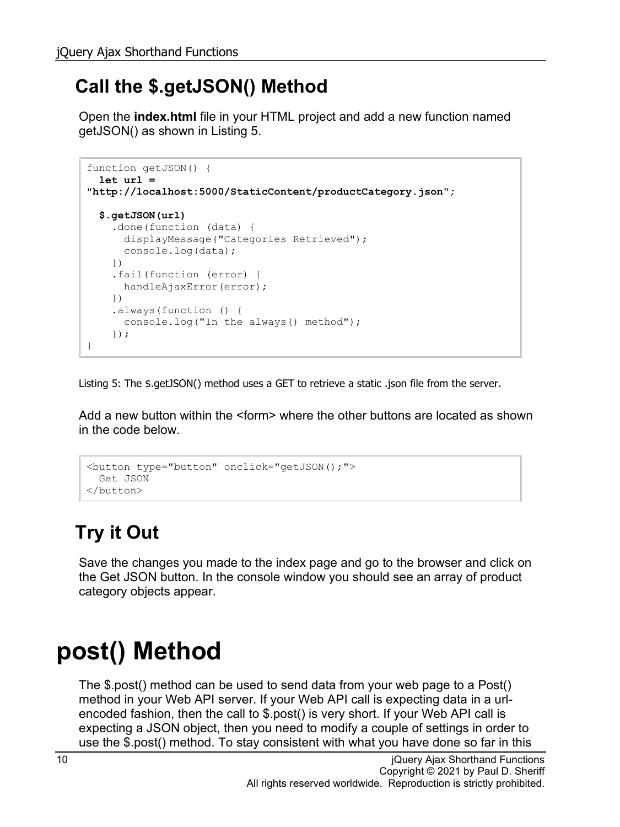#### **Call the \$.getJSON() Method**

Open the **index.html** file in your HTML project and add a new function named getJSON() as shown in [Listing 5.](#page-9-0)

```
function getJSON() {
   let url = 
"http://localhost:5000/StaticContent/productCategory.json";
   $.getJSON(url)
     .done(function (data) {
      displayMessage("Categories Retrieved");
       console.log(data);
     })
     .fail(function (error) {
      handleAjaxError(error);
     })
     .always(function () {
     console.log("In the always() method");
     });
}
```
<span id="page-9-0"></span>Listing 5: The \$.getJSON() method uses a GET to retrieve a static .json file from the server.

Add a new button within the <form> where the other buttons are located as shown in the code below.

```
<button type="button" onclick="getJSON();">
  Get JSON
</button>
```
### **Try it Out**

Save the changes you made to the index page and go to the browser and click on the Get JSON button. In the console window you should see an array of product category objects appear.

## **post() Method**

The \$.post() method can be used to send data from your web page to a Post() method in your Web API server. If your Web API call is expecting data in a urlencoded fashion, then the call to \$.post() is very short. If your Web API call is expecting a JSON object, then you need to modify a couple of settings in order to use the \$.post() method. To stay consistent with what you have done so far in this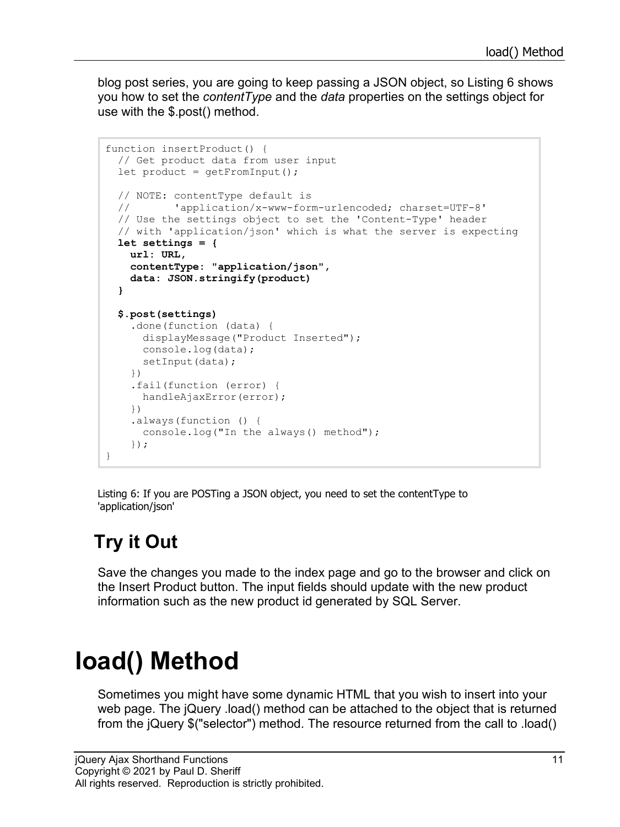blog post series, you are going to keep passing a JSON object, so [Listing 6](#page-10-0) shows you how to set the *contentType* and the *data* properties on the settings object for use with the \$.post() method.

```
function insertProduct() {
  // Get product data from user input
  let product = getFromInput();
  // NOTE: contentType default is
  // 'application/x-www-form-urlencoded; charset=UTF-8'
   // Use the settings object to set the 'Content-Type' header
   // with 'application/json' which is what the server is expecting
  let settings = {
    url: URL,
    contentType: "application/json",
     data: JSON.stringify(product)
   }
   $.post(settings)
     .done(function (data) {
      displayMessage("Product Inserted");
      console.log(data);
     setInput(data);
     })
     .fail(function (error) {
     handleAjaxError(error);
     })
     .always(function () {
      console.log("In the always() method");
     });
}
```
<span id="page-10-0"></span>Listing 6: If you are POSTing a JSON object, you need to set the contentType to 'application/json'

### **Try it Out**

Save the changes you made to the index page and go to the browser and click on the Insert Product button. The input fields should update with the new product information such as the new product id generated by SQL Server.

## **load() Method**

Sometimes you might have some dynamic HTML that you wish to insert into your web page. The jQuery .load() method can be attached to the object that is returned from the jQuery \$("selector") method. The resource returned from the call to .load()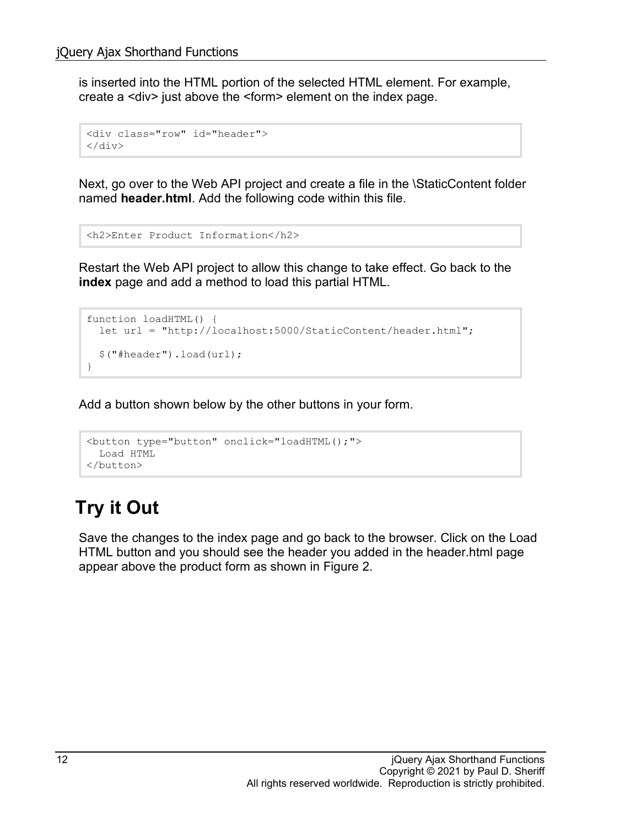is inserted into the HTML portion of the selected HTML element. For example, create a <div> just above the <form> element on the index page.

```
<div class="row" id="header">
\langle div\rangle
```
Next, go over to the Web API project and create a file in the \StaticContent folder named **header.html**. Add the following code within this file.

```
<h2>Enter Product Information</h2>
```
Restart the Web API project to allow this change to take effect. Go back to the **index** page and add a method to load this partial HTML.

```
function loadHTML() {
  let url = "http://localhost:5000/StaticContent/header.html";
   $("#header").load(url);
}
```
Add a button shown below by the other buttons in your form.

```
<button type="button" onclick="loadHTML();">
  Load HTML
</button>
```
#### **Try it Out**

Save the changes to the index page and go back to the browser. Click on the Load HTML button and you should see the header you added in the header.html page appear above the product form as shown in [Figure 2.](#page-12-0)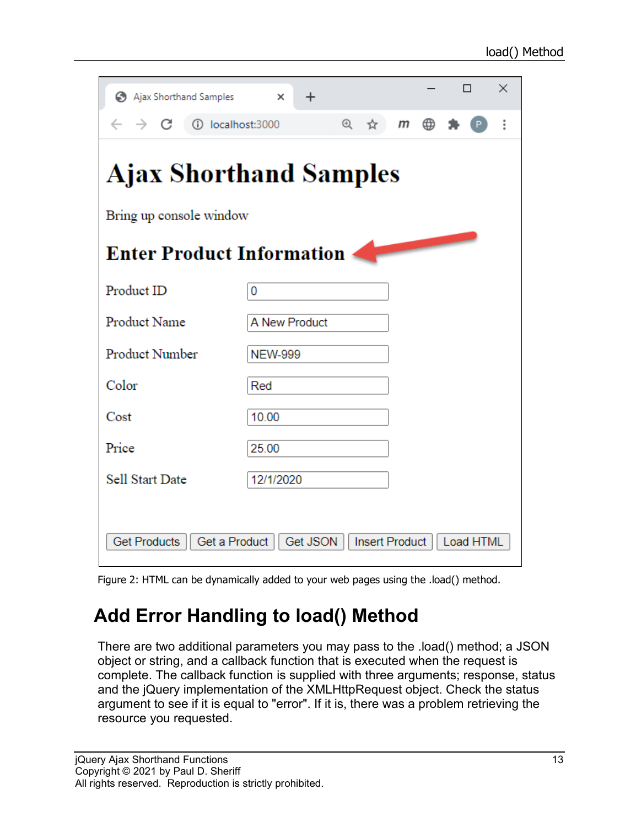| Ajax Shorthand Samples                                                                 | ×              | $\ddot{}$ |          |   |                  |   |  | П | × |
|----------------------------------------------------------------------------------------|----------------|-----------|----------|---|------------------|---|--|---|---|
| $\rightarrow$ $C$ (i) localhost:3000                                                   |                |           | $\Theta$ | ☆ | $\boldsymbol{m}$ | ⊕ |  |   |   |
| <b>Ajax Shorthand Samples</b>                                                          |                |           |          |   |                  |   |  |   |   |
| Bring up console window                                                                |                |           |          |   |                  |   |  |   |   |
| <b>Enter Product Information</b>                                                       |                |           |          |   |                  |   |  |   |   |
| Product ID                                                                             | 0              |           |          |   |                  |   |  |   |   |
| <b>Product Name</b>                                                                    | A New Product  |           |          |   |                  |   |  |   |   |
| Product Number                                                                         | <b>NEW-999</b> |           |          |   |                  |   |  |   |   |
| Color                                                                                  | Red            |           |          |   |                  |   |  |   |   |
| Cost                                                                                   | 10.00          |           |          |   |                  |   |  |   |   |
| Price                                                                                  | 25.00          |           |          |   |                  |   |  |   |   |
| <b>Sell Start Date</b>                                                                 | 12/1/2020      |           |          |   |                  |   |  |   |   |
|                                                                                        |                |           |          |   |                  |   |  |   |   |
| <b>Get Products</b><br>Get a Product<br>Get JSON<br><b>Insert Product</b><br>Load HTML |                |           |          |   |                  |   |  |   |   |

<span id="page-12-0"></span>Figure 2: HTML can be dynamically added to your web pages using the .load() method.

#### **Add Error Handling to load() Method**

There are two additional parameters you may pass to the .load() method; a JSON object or string, and a callback function that is executed when the request is complete. The callback function is supplied with three arguments; response, status and the jQuery implementation of the XMLHttpRequest object. Check the status argument to see if it is equal to "error". If it is, there was a problem retrieving the resource you requested.